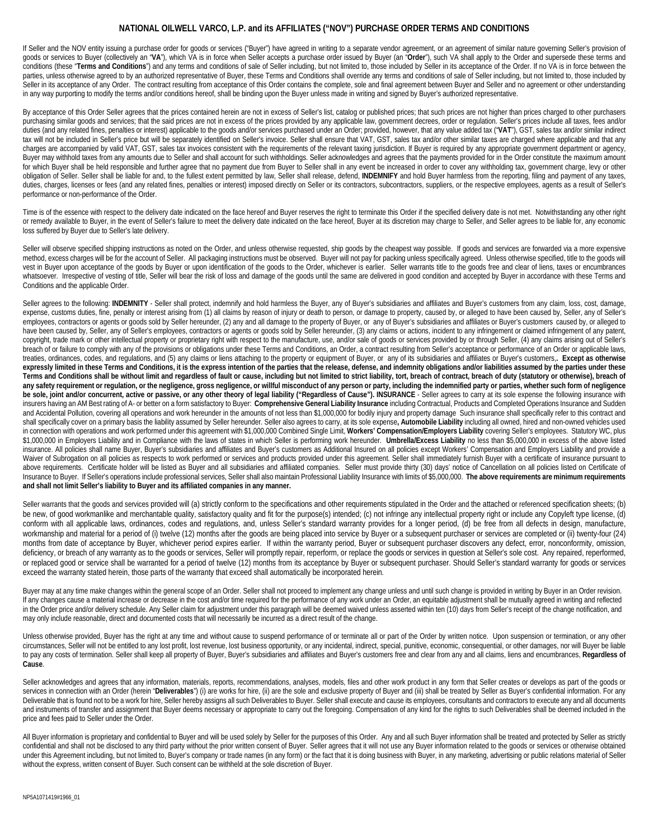## **NATIONAL OILWELL VARCO, L.P. and its AFFILIATES ("NOV") PURCHASE ORDER TERMS AND CONDITIONS**

If Seller and the NOV entity issuing a purchase order for goods or services ("Buyer") have agreed in writing to a separate vendor agreement, or an agreement of similar nature governing Seller's provision of goods or services to Buyer (collectively an "**VA**"), which VA is in force when Seller accepts a purchase order issued by Buyer (an "**Order**"), such VA shall apply to the Order and supersede these terms and conditions (these "Terms and Conditions") and any terms and conditions of sale of Seller including, but not limited to, those included by Seller in its acceptance of the Order. If no VA is in force between the parties, unless otherwise agreed to by an authorized representative of Buyer, these Terms and Conditions shall override any terms and conditions of sale of Seller including, but not limited to, those included by Seller in its acceptance of any Order. The contract resulting from acceptance of this Order contains the complete, sole and final agreement between Buyer and Seller and no agreement or other understanding in any way purporting to modify the terms and/or conditions hereof, shall be binding upon the Buyer unless made in writing and signed by Buyer's authorized representative.

By acceptance of this Order Seller agrees that the prices contained herein are not in excess of Seller's list, catalog or published prices; that such prices are not higher than prices charged to other purchasers purchasing similar goods and services; that the said prices are not in excess of the prices provided by any applicable law, government decrees, order or regulation. Seller's prices include all taxes, fees and/or duties (and any related fines, penalties or interest) applicable to the goods and/or services purchased under an Order; provided, however, that any value added tax ("**VAT**"), GST, sales tax and/or similar indirect tax will not be included in Seller's price but will be separately identified on Seller's invoice. Seller shall ensure that VAT, GST, sales tax and/or other similar taxes are charged where applicable and that any charges are accompanied by valid VAT, GST, sales tax invoices consistent with the requirements of the relevant taxing jurisdiction. If Buyer is required by any appropriate government department or agency, Buyer may withhold taxes from any amounts due to Seller and shall account for such withholdings. Seller acknowledges and agrees that the payments provided for in the Order constitute the maximum amount for which Buyer shall be held responsible and further agree that no payment due from Buyer to Seller shall in any event be increased in order to cover any withholding tax, government charge, levy or other obligation of Seller. Seller shall be liable for and, to the fullest extent permitted by law, Seller shall release, defend, **INDEMNIFY** and hold Buyer harmless from the reporting, filing and payment of any taxes, duties, charges, licenses or fees (and any related fines, penalties or interest) imposed directly on Seller or its contractors, subcontractors, suppliers, or the respective employees, agents as a result of Seller's performance or non-performance of the Order.

Time is of the essence with respect to the delivery date indicated on the face hereof and Buyer reserves the right to terminate this Order if the specified delivery date is not met. Notwithstanding any other right or remedy available to Buyer, in the event of Seller's failure to meet the delivery date indicated on the face hereof, Buyer at its discretion may charge to Seller, and Seller agrees to be liable for, any economic loss suffered by Buyer due to Seller's late delivery.

Seller will observe specified shipping instructions as noted on the Order, and unless otherwise requested, ship goods by the cheapest way possible. If goods and services are forwarded via a more expensive method, excess charges will be for the account of Seller. All packaging instructions must be observed. Buyer will not pay for packing unless specifically agreed. Unless otherwise specified, title to the goods will vest in Buyer upon acceptance of the goods by Buyer or upon identification of the goods to the Order, whichever is earlier. Seller warrants title to the goods free and clear of liens, taxes or encumbrances whatsoever. Irrespective of vesting of title, Seller will bear the risk of loss and damage of the goods until the same are delivered in good condition and accepted by Buyer in accordance with these Terms and Conditions and the applicable Order.

Seller agrees to the following: INDEMNITY - Seller shall protect, indemnify and hold harmless the Buyer, any of Buyer's subsidiaries and affiliates and Buyer's customers from any claim, loss, cost, damage, expense, customs duties, fine, penalty or interest arising from (1) all claims by reason of injury or death to person, or damage to property, caused by, or alleged to have been caused by, Seller, any of Seller's employees, contractors or agents or goods sold by Seller hereunder, (2) any and all damage to the property of Buyer, or any of Buyer's subsidiaries and affiliates or Buyer's customers caused by, or alleged to have been caused by, Seller, any of Seller's employees, contractors or agents or goods sold by Seller hereunder, (3) any claims or actions, incident to any infringement or claimed infringement of any patent, copyright, trade mark or other intellectual property or proprietary right with respect to the manufacture, use, and/or sale of goods or services provided by or through Seller, (4) any claims arising out of Seller's breach of or failure to comply with any of the provisions or obligations under these Terms and Conditions, an Order, a contract resulting from Seller's acceptance or performance of an Order or applicable laws, treaties, ordinances, codes, and regulations, and (5) any claims or liens attaching to the property or equipment of Buyer, or any of its subsidiaries and affiliates or Buyer's customers,**. Except as otherwise expressly limited in these Terms and Conditions, it is the express intention of the parties that the release, defense, and indemnity obligations and/or liabilities assumed by the parties under these**  Terms and Conditions shall be without limit and regardless of fault or cause, including but not limited to strict liability, tort, breach of contract, breach of duty (statutory or otherwise), breach of any safety requirement or regulation, or the negligence, gross negligence, or willful misconduct of any person or party, including the indemnified party or parties, whether such form of negligence be sole, joint and/or concurrent, active or passive, or any other theory of legal liability ("Regardless of Cause"). INSURANCE - Seller agrees to carry at its sole expense the following insurance with insurers having an AM Best rating of A- or better on a form satisfactory to Buyer: **Comprehensive General Liability Insurance** including Contractual, Products and Completed Operations Insurance and Sudden and Accidental Pollution, covering all operations and work hereunder in the amounts of not less than \$1,000,000 for bodily injury and property damage Such insurance shall specifically refer to this contract and shall specifically cover on a primary basis the liability assumed by Seller hereunder. Seller also agrees to carry, at its sole expense, Automobile Liability including all owned, hired and non-owned vehicles used in connection with operations and work performed under this agreement with \$1,000,000 Combined Single Limit, **Workers' Compensation/Employers Liability** covering Seller's employees. Statutory WC, plus \$1,000,000 in Employers Liability and in Compliance with the laws of states in which Seller is performing work hereunder. **Umbrella/Excess Liability** no less than \$5,000,000 in excess of the above listed insurance. All policies shall name Buyer, Buyer's subsidiaries and affiliates and Buyer's customers as Additional Insured on all policies except Workers' Compensation and Employers Liability and provide a Waiver of Subrogation on all policies as respects to work performed or services and products provided under this agreement. Seller shall immediately furnish Buyer with a certificate of insurance pursuant to above requirements. Certificate holder will be listed as Buyer and all subsidiaries and affiliated companies. Seller must provide thirty (30) days' notice of Cancellation on all policies listed on Certificate of Insurance to Buyer. If Seller's operations include professional services, Seller shall also maintain Professional Liability Insurance with limits of \$5,000,000. **The above requirements are minimum requirements and shall not limit Seller's liability to Buyer and its affiliated companies in any manner.**

Seller warrants that the goods and services provided will (a) strictly conform to the specifications and other requirements stipulated in the Order and the attached or referenced specification sheets; (b) be new, of good workmanlike and merchantable quality, satisfactory quality and fit for the purpose(s) intended; (c) not infringe any intellectual property right or include any Copyleft type license, (d) conform with all applicable laws, ordinances, codes and regulations, and, unless Seller's standard warranty provides for a longer period, (d) be free from all defects in design, manufacture, workmanship and material for a period of (i) twelve (12) months after the goods are being placed into service by Buyer or a subsequent purchaser or services are completed or (ii) twenty-four (24) months from date of acceptance by Buyer, whichever period expires earlier. If within the warranty period, Buyer or subsequent purchaser discovers any defect, error, nonconformity, omission, deficiency, or breach of any warranty as to the goods or services, Seller will promptly repair, reperform, or replace the goods or services in question at Seller's sole cost. Any repaired, reperformed, or replaced good or service shall be warranted for a period of twelve (12) months from its acceptance by Buyer or subsequent purchaser. Should Seller's standard warranty for goods or services exceed the warranty stated herein, those parts of the warranty that exceed shall automatically be incorporated herein.

Buyer may at any time make changes within the general scope of an Order. Seller shall not proceed to implement any change unless and until such change is provided in writing by Buyer in an Order revision. If any changes cause a material increase or decrease in the cost and/or time required for the performance of any work under an Order, an equitable adjustment shall be mutually agreed in writing and reflected in the Order price and/or delivery schedule. Any Seller claim for adjustment under this paragraph will be deemed waived unless asserted within ten (10) days from Seller's receipt of the change notification, and may only include reasonable, direct and documented costs that will necessarily be incurred as a direct result of the change.

Unless otherwise provided, Buyer has the right at any time and without cause to suspend performance of or terminate all or part of the Order by written notice. Upon suspension or termination, or any other circumstances, Seller will not be entitled to any lost profit, lost revenue, lost business opportunity, or any incidental, indirect, special, punitive, economic, consequential, or other damages, nor will Buyer be liable to pay any costs of termination. Seller shall keep all property of Buyer, Buyer's subsidiaries and affiliates and Buyer's customers free and clear from any and all claims, liens and encumbrances, **Regardless of Cause**.

Seller acknowledges and agrees that any information, materials, reports, recommendations, analyses, models, files and other work product in any form that Seller creates or develops as part of the goods or services in connection with an Order (herein "Deliverables") (i) are works for hire, (ii) are the sole and exclusive property of Buyer and (iii) shall be treated by Seller as Buyer's confidential information. For any Deliverable that is found not to be a work for hire, Seller hereby assigns all such Deliverables to Buyer. Seller shall execute and cause its employees, consultants and contractors to execute any and all documents and instruments of transfer and assignment that Buyer deems necessary or appropriate to carry out the foregoing. Compensation of any kind for the rights to such Deliverables shall be deemed included in the price and fees paid to Seller under the Order.

All Buyer information is proprietary and confidential to Buyer and will be used solely by Seller for the purposes of this Order. Any and all such Buyer information shall be treated and protected by Seller as strictly confidential and shall not be disclosed to any third party without the prior written consent of Buyer. Seller agrees that it will not use any Buyer information related to the goods or services or otherwise obtained under this Agreement including, but not limited to, Buyer's company or trade names (in any form) or the fact that it is doing business with Buyer, in any marketing, advertising or public relations material of Seller without the express, written consent of Buyer. Such consent can be withheld at the sole discretion of Buyer.